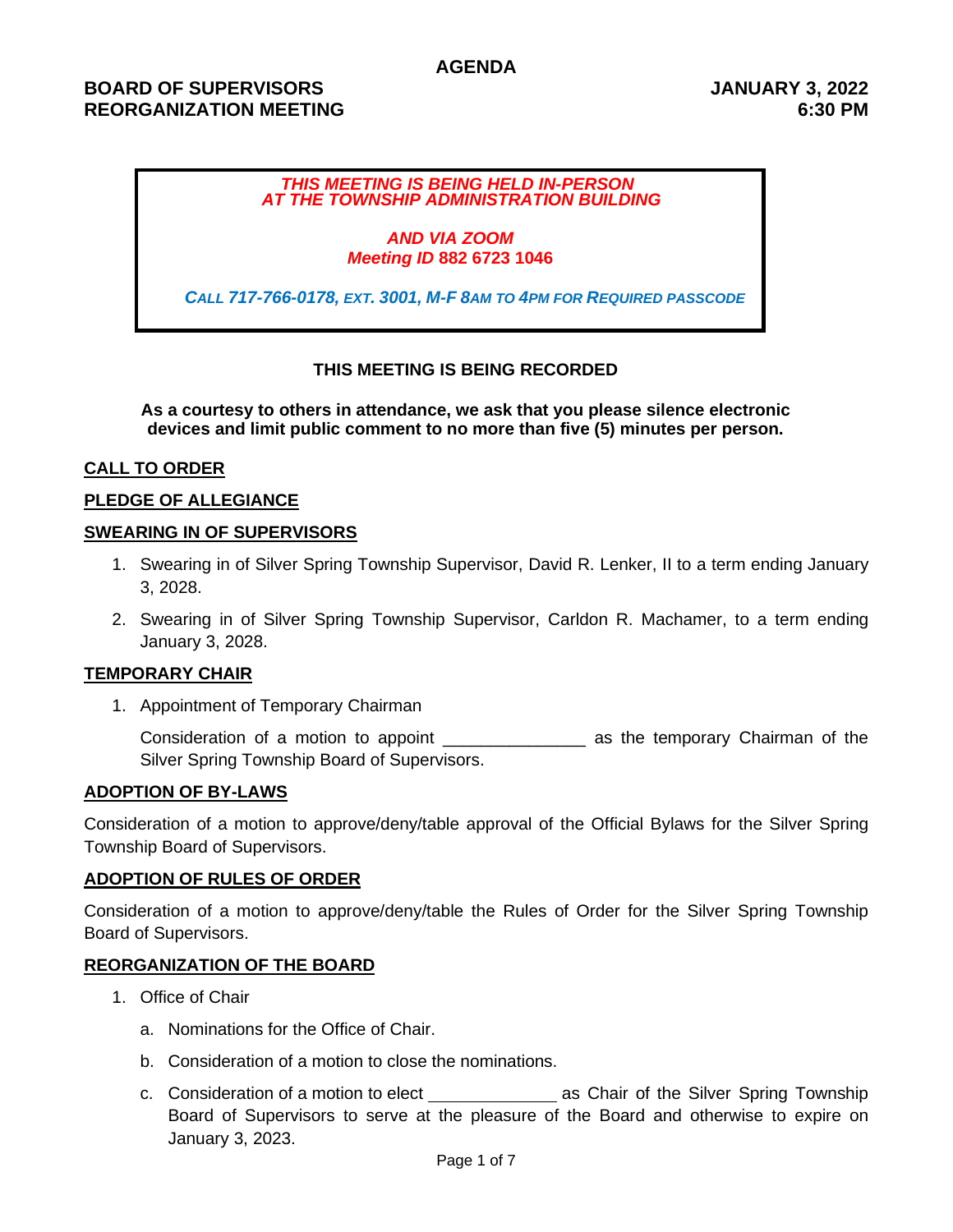### **AGENDA**

# **BOARD OF SUPERVISORS JANUARY 3, 2022 REORGANIZATION MEETING 6:30 PM**

### *THIS MEETING IS BEING HELD IN-PERSON AT THE TOWNSHIP ADMINISTRATION BUILDING*

#### *AND VIA ZOOM Meeting ID* **882 6723 1046**

*CALL 717-766-0178, EXT. 3001, M-F 8AM TO 4PM FOR REQUIRED PASSCODE*

## **THIS MEETING IS BEING RECORDED**

**As a courtesy to others in attendance, we ask that you please silence electronic devices and limit public comment to no more than five (5) minutes per person.**

### **CALL TO ORDER**

### **PLEDGE OF ALLEGIANCE**

#### **SWEARING IN OF SUPERVISORS**

- 1. Swearing in of Silver Spring Township Supervisor, David R. Lenker, II to a term ending January 3, 2028.
- 2. Swearing in of Silver Spring Township Supervisor, Carldon R. Machamer, to a term ending January 3, 2028.

### **TEMPORARY CHAIR**

1. Appointment of Temporary Chairman

Consideration of a motion to appoint **constrained and the temporary Chairman of the** Silver Spring Township Board of Supervisors.

#### **ADOPTION OF BY-LAWS**

Consideration of a motion to approve/deny/table approval of the Official Bylaws for the Silver Spring Township Board of Supervisors.

#### **ADOPTION OF RULES OF ORDER**

Consideration of a motion to approve/deny/table the Rules of Order for the Silver Spring Township Board of Supervisors.

### **REORGANIZATION OF THE BOARD**

- 1. Office of Chair
	- a. Nominations for the Office of Chair.
	- b. Consideration of a motion to close the nominations.
	- c. Consideration of a motion to elect \_\_\_\_\_\_\_\_\_\_\_\_\_\_\_\_\_\_\_\_\_ as Chair of the Silver Spring Township Board of Supervisors to serve at the pleasure of the Board and otherwise to expire on January 3, 2023.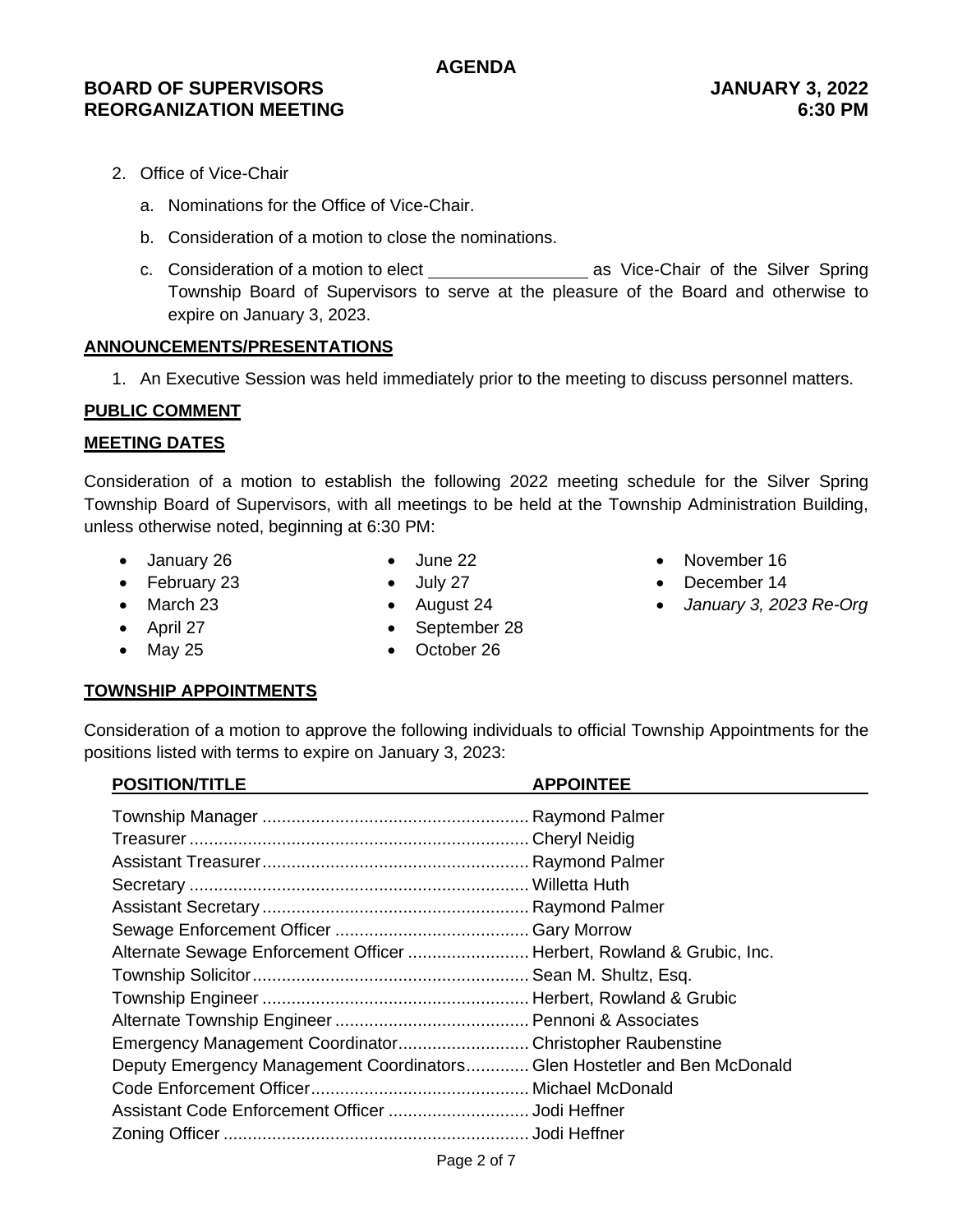# **BOARD OF SUPERVISORS JANUARY 3, 2022 REORGANIZATION MEETING 6:30 PM**

- 2. Office of Vice-Chair
	- a. Nominations for the Office of Vice-Chair.
	- b. Consideration of a motion to close the nominations.
	- c. Consideration of a motion to elect \_\_\_\_\_\_\_\_\_\_\_\_\_\_\_\_\_\_\_\_\_\_\_ as Vice-Chair of the Silver Spring Township Board of Supervisors to serve at the pleasure of the Board and otherwise to expire on January 3, 2023.

### **ANNOUNCEMENTS/PRESENTATIONS**

1. An Executive Session was held immediately prior to the meeting to discuss personnel matters.

## **PUBLIC COMMENT**

### **MEETING DATES**

Consideration of a motion to establish the following 2022 meeting schedule for the Silver Spring Township Board of Supervisors, with all meetings to be held at the Township Administration Building, unless otherwise noted, beginning at 6:30 PM:

- January 26
- February 23
- $\bullet$  June 22
- 
- March 23
- April 27
- May 25
- July 27 • August 24
- September 28
- October 26
- November 16
- December 14
- *January 3, 2023 Re-Org*

## **TOWNSHIP APPOINTMENTS**

Consideration of a motion to approve the following individuals to official Township Appointments for the positions listed with terms to expire on January 3, 2023: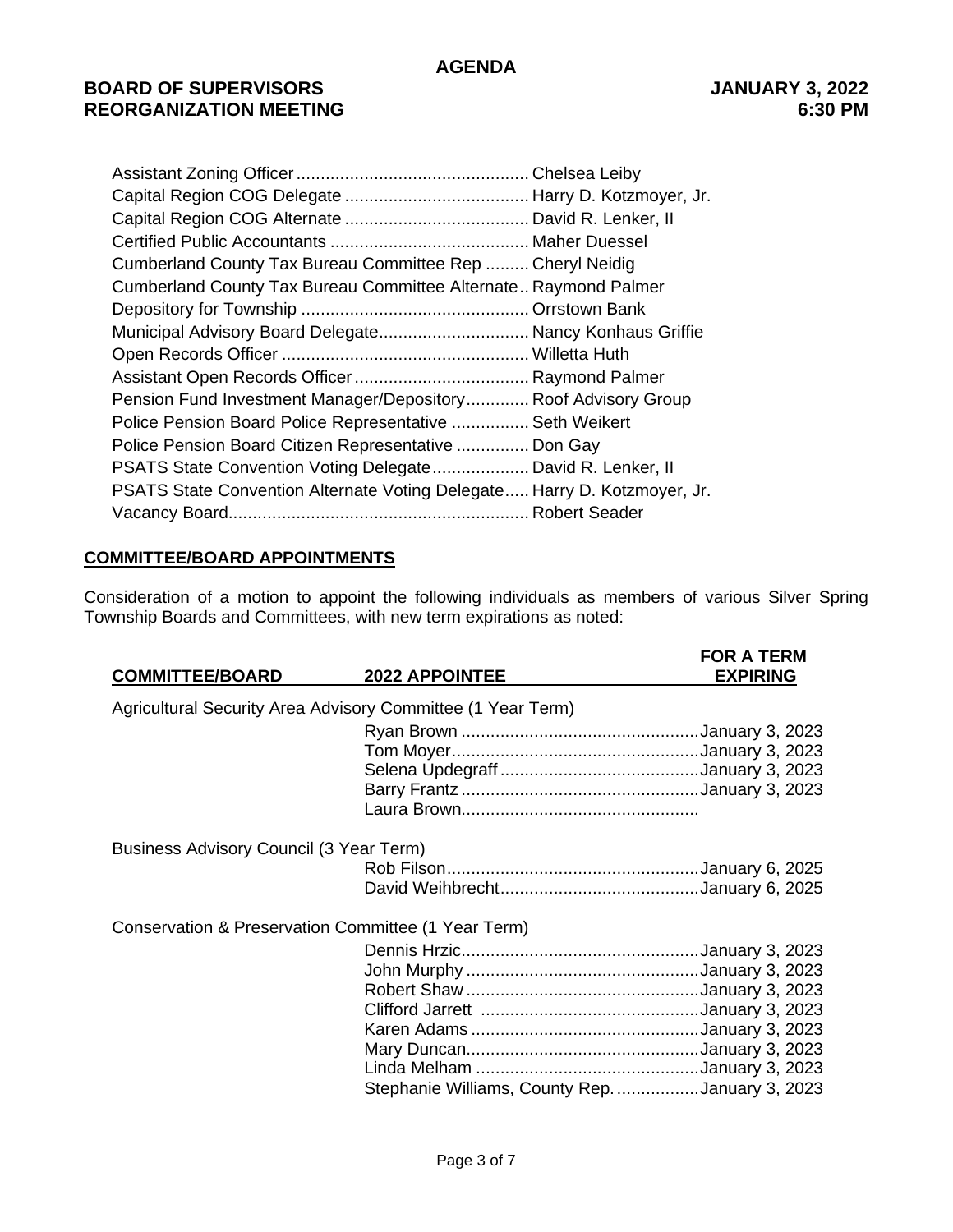# **BOARD OF SUPERVISORS JANUARY 3, 2022 REORGANIZATION MEETING 6:30 PM**

| Cumberland County Tax Bureau Committee Rep  Cheryl Neidig                |  |
|--------------------------------------------------------------------------|--|
| Cumberland County Tax Bureau Committee Alternate Raymond Palmer          |  |
|                                                                          |  |
| Municipal Advisory Board Delegate Nancy Konhaus Griffie                  |  |
|                                                                          |  |
|                                                                          |  |
| Pension Fund Investment Manager/Depository Roof Advisory Group           |  |
| Police Pension Board Police Representative  Seth Weikert                 |  |
| Police Pension Board Citizen Representative  Don Gay                     |  |
| PSATS State Convention Voting Delegate David R. Lenker, II               |  |
| PSATS State Convention Alternate Voting Delegate Harry D. Kotzmoyer, Jr. |  |
|                                                                          |  |

### **COMMITTEE/BOARD APPOINTMENTS**

Consideration of a motion to appoint the following individuals as members of various Silver Spring Township Boards and Committees, with new term expirations as noted:

| <b>COMMITTEE/BOARD</b>                                      | <b>2022 APPOINTEE</b>                           | <b>FOR A TERM</b><br><b>EXPIRING</b> |  |  |
|-------------------------------------------------------------|-------------------------------------------------|--------------------------------------|--|--|
| Agricultural Security Area Advisory Committee (1 Year Term) |                                                 |                                      |  |  |
|                                                             |                                                 |                                      |  |  |
|                                                             |                                                 |                                      |  |  |
|                                                             |                                                 |                                      |  |  |
|                                                             |                                                 |                                      |  |  |
|                                                             |                                                 |                                      |  |  |
| Business Advisory Council (3 Year Term)                     |                                                 |                                      |  |  |
|                                                             |                                                 |                                      |  |  |
|                                                             |                                                 |                                      |  |  |
| Conservation & Preservation Committee (1 Year Term)         |                                                 |                                      |  |  |
|                                                             |                                                 |                                      |  |  |
|                                                             |                                                 |                                      |  |  |
|                                                             |                                                 |                                      |  |  |
|                                                             |                                                 |                                      |  |  |
|                                                             |                                                 |                                      |  |  |
|                                                             |                                                 |                                      |  |  |
|                                                             |                                                 |                                      |  |  |
|                                                             | Stephanie Williams, County Rep. January 3, 2023 |                                      |  |  |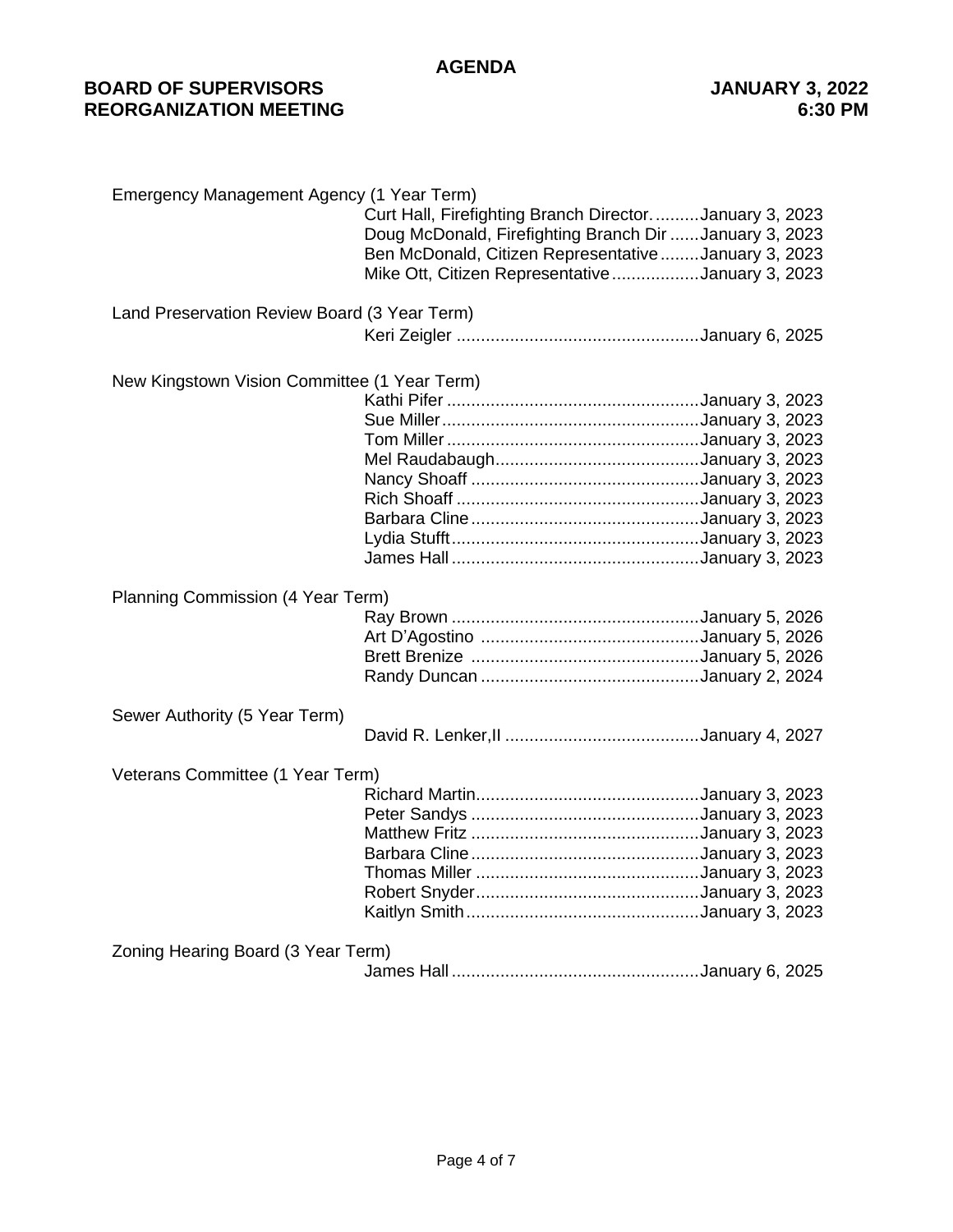# **BOARD OF SUPERVISORS JANUARY 3, 2022 REORGANIZATION MEETING**

| Emergency Management Agency (1 Year Term)    |                                                                                                                                                                                                                             |  |  |  |
|----------------------------------------------|-----------------------------------------------------------------------------------------------------------------------------------------------------------------------------------------------------------------------------|--|--|--|
|                                              | Curt Hall, Firefighting Branch DirectorJanuary 3, 2023<br>Doug McDonald, Firefighting Branch Dir January 3, 2023<br>Ben McDonald, Citizen RepresentativeJanuary 3, 2023<br>Mike Ott, Citizen Representative January 3, 2023 |  |  |  |
|                                              |                                                                                                                                                                                                                             |  |  |  |
| Land Preservation Review Board (3 Year Term) |                                                                                                                                                                                                                             |  |  |  |
|                                              |                                                                                                                                                                                                                             |  |  |  |
| New Kingstown Vision Committee (1 Year Term) |                                                                                                                                                                                                                             |  |  |  |
|                                              |                                                                                                                                                                                                                             |  |  |  |
|                                              |                                                                                                                                                                                                                             |  |  |  |
|                                              |                                                                                                                                                                                                                             |  |  |  |
|                                              |                                                                                                                                                                                                                             |  |  |  |
|                                              |                                                                                                                                                                                                                             |  |  |  |
|                                              |                                                                                                                                                                                                                             |  |  |  |
|                                              |                                                                                                                                                                                                                             |  |  |  |
|                                              |                                                                                                                                                                                                                             |  |  |  |
|                                              |                                                                                                                                                                                                                             |  |  |  |
| Planning Commission (4 Year Term)            |                                                                                                                                                                                                                             |  |  |  |
|                                              |                                                                                                                                                                                                                             |  |  |  |
|                                              |                                                                                                                                                                                                                             |  |  |  |
|                                              |                                                                                                                                                                                                                             |  |  |  |
|                                              |                                                                                                                                                                                                                             |  |  |  |
| Sewer Authority (5 Year Term)                |                                                                                                                                                                                                                             |  |  |  |
|                                              |                                                                                                                                                                                                                             |  |  |  |
| Veterans Committee (1 Year Term)             |                                                                                                                                                                                                                             |  |  |  |
|                                              |                                                                                                                                                                                                                             |  |  |  |
|                                              |                                                                                                                                                                                                                             |  |  |  |
|                                              |                                                                                                                                                                                                                             |  |  |  |
|                                              |                                                                                                                                                                                                                             |  |  |  |
|                                              |                                                                                                                                                                                                                             |  |  |  |
|                                              |                                                                                                                                                                                                                             |  |  |  |
|                                              |                                                                                                                                                                                                                             |  |  |  |
| Zoning Hearing Board (3 Year Term)           |                                                                                                                                                                                                                             |  |  |  |
|                                              |                                                                                                                                                                                                                             |  |  |  |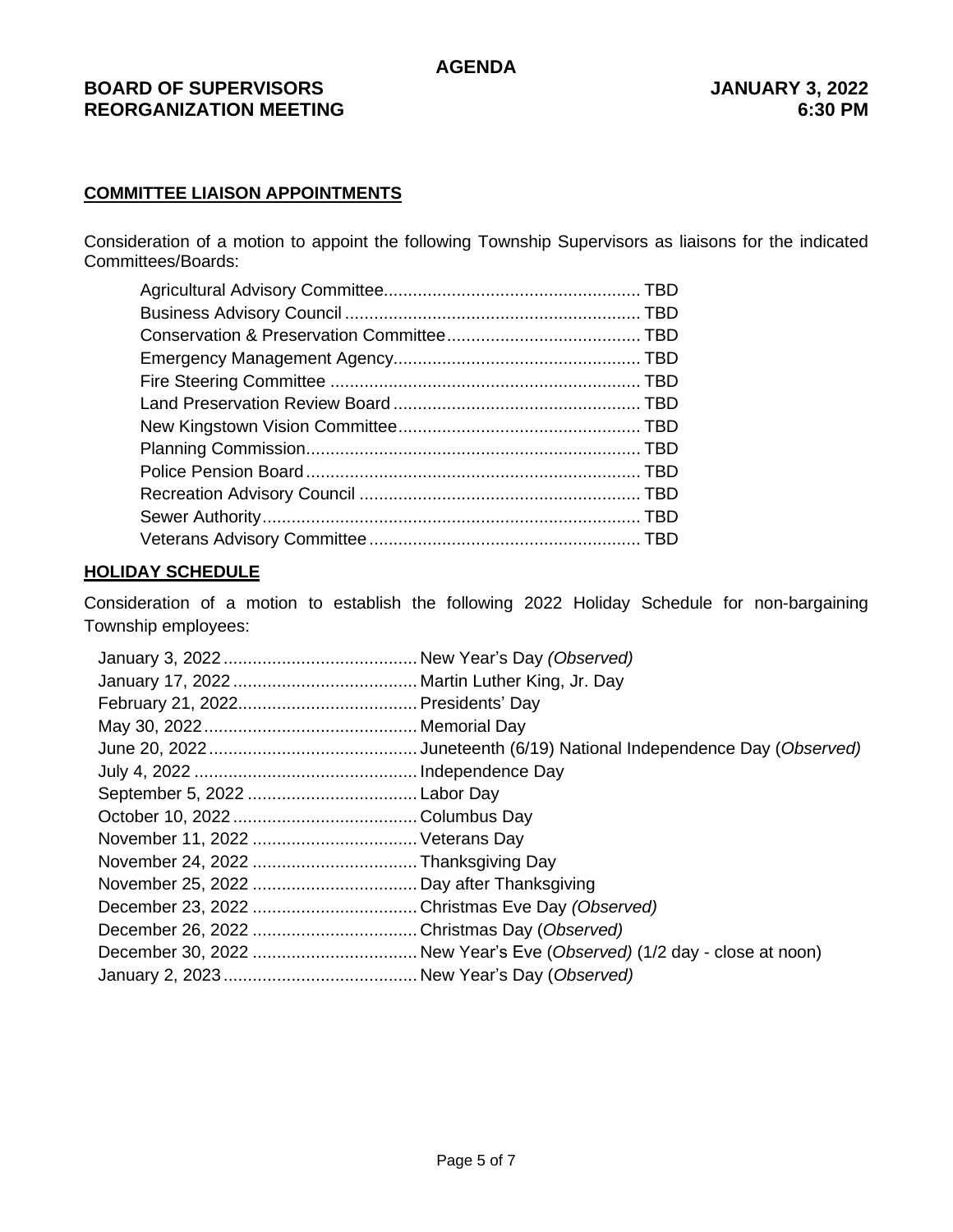# **BOARD OF SUPERVISORS JANUARY 3, 2022 REORGANIZATION MEETING 6:30 PM**

# **COMMITTEE LIAISON APPOINTMENTS**

Consideration of a motion to appoint the following Township Supervisors as liaisons for the indicated Committees/Boards:

### **HOLIDAY SCHEDULE**

Consideration of a motion to establish the following 2022 Holiday Schedule for non-bargaining Township employees: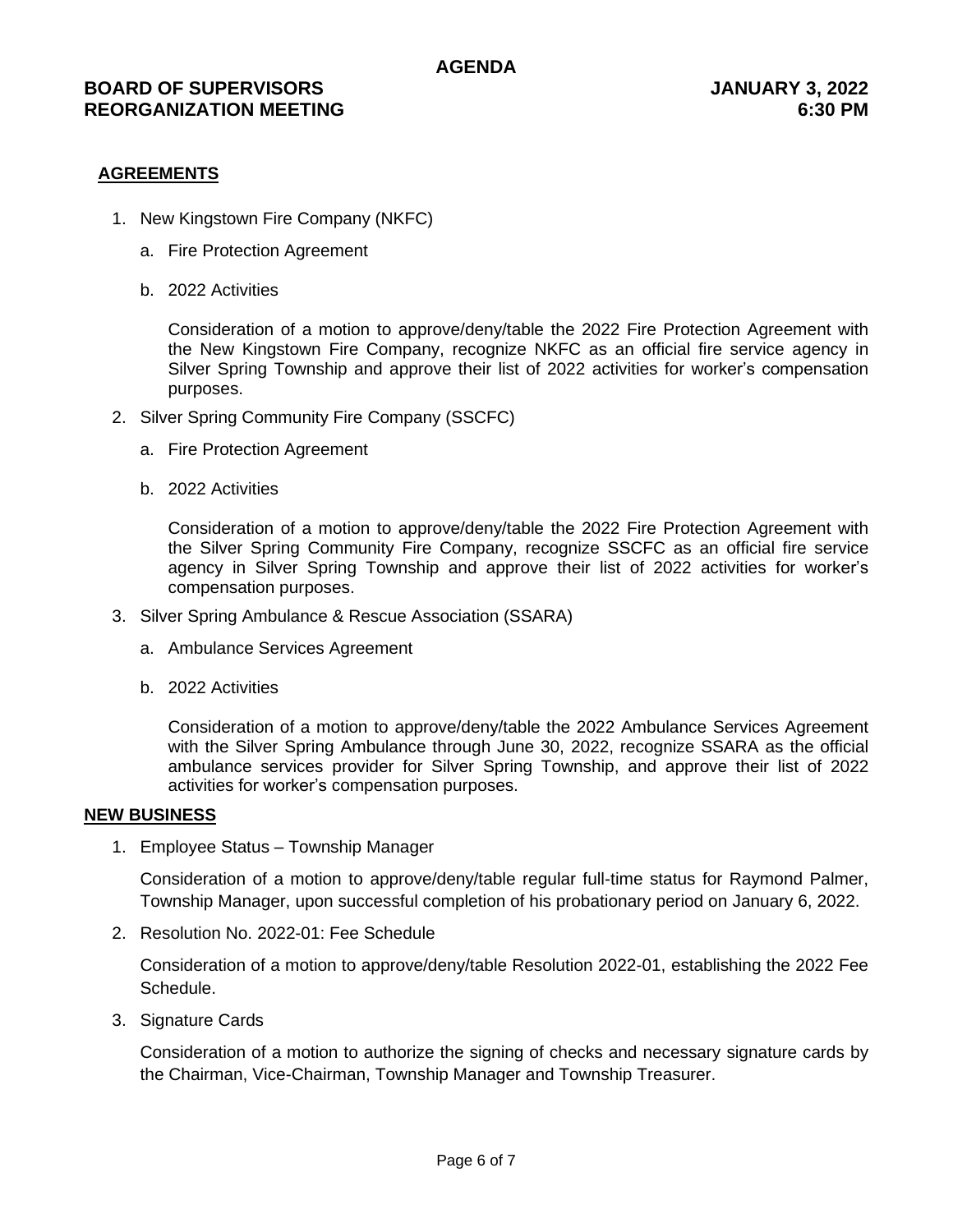#### **AGREEMENTS**

- 1. New Kingstown Fire Company (NKFC)
	- a. Fire Protection Agreement
	- b. 2022 Activities

Consideration of a motion to approve/deny/table the 2022 Fire Protection Agreement with the New Kingstown Fire Company, recognize NKFC as an official fire service agency in Silver Spring Township and approve their list of 2022 activities for worker's compensation purposes.

- 2. Silver Spring Community Fire Company (SSCFC)
	- a. Fire Protection Agreement
	- b. 2022 Activities

Consideration of a motion to approve/deny/table the 2022 Fire Protection Agreement with the Silver Spring Community Fire Company, recognize SSCFC as an official fire service agency in Silver Spring Township and approve their list of 2022 activities for worker's compensation purposes.

- 3. Silver Spring Ambulance & Rescue Association (SSARA)
	- a. Ambulance Services Agreement
	- b. 2022 Activities

Consideration of a motion to approve/deny/table the 2022 Ambulance Services Agreement with the Silver Spring Ambulance through June 30, 2022, recognize SSARA as the official ambulance services provider for Silver Spring Township, and approve their list of 2022 activities for worker's compensation purposes.

#### **NEW BUSINESS**

1. Employee Status – Township Manager

Consideration of a motion to approve/deny/table regular full-time status for Raymond Palmer, Township Manager, upon successful completion of his probationary period on January 6, 2022.

2. Resolution No. 2022-01: Fee Schedule

Consideration of a motion to approve/deny/table Resolution 2022-01, establishing the 2022 Fee Schedule.

3. Signature Cards

Consideration of a motion to authorize the signing of checks and necessary signature cards by the Chairman, Vice-Chairman, Township Manager and Township Treasurer.